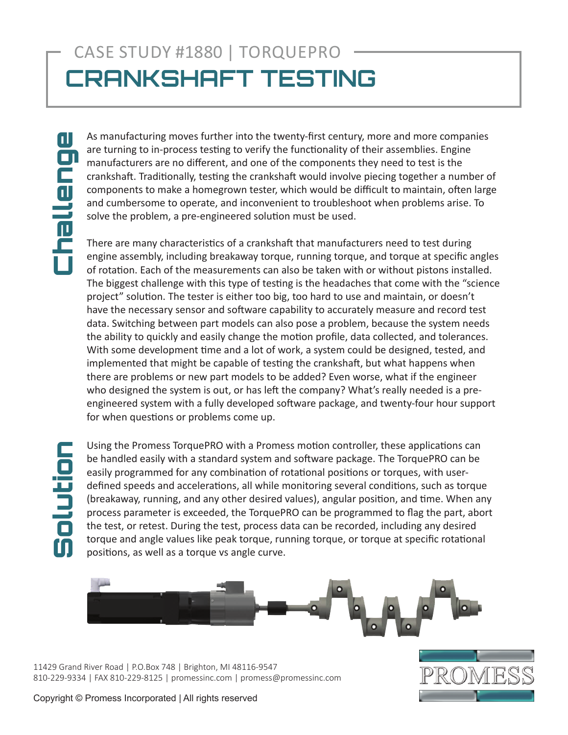## CASE STUDY #1880 | TORQUEPRO **CRANKSHAFT TESTING**

challenge Challenge

As manufacturing moves further into the twenty-first century, more and more companies are turning to in-process testing to verify the functionality of their assemblies. Engine manufacturers are no different, and one of the components they need to test is the crankshaft. Traditionally, testing the crankshaft would involve piecing together a number of components to make a homegrown tester, which would be difficult to maintain, often large and cumbersome to operate, and inconvenient to troubleshoot when problems arise. To solve the problem, a pre-engineered solution must be used.

There are many characteristics of a crankshaft that manufacturers need to test during engine assembly, including breakaway torque, running torque, and torque at specific angles of rotation. Each of the measurements can also be taken with or without pistons installed. The biggest challenge with this type of testing is the headaches that come with the "science project" solution. The tester is either too big, too hard to use and maintain, or doesn't have the necessary sensor and software capability to accurately measure and record test data. Switching between part models can also pose a problem, because the system needs the ability to quickly and easily change the motion profile, data collected, and tolerances. With some development time and a lot of work, a system could be designed, tested, and implemented that might be capable of testing the crankshaft, but what happens when there are problems or new part models to be added? Even worse, what if the engineer who designed the system is out, or has left the company? What's really needed is a preengineered system with a fully developed software package, and twenty-four hour support for when questions or problems come up.

Using the Promess TorquePRO with a Promess motion controller, these applications can be handled easily with a standard system and software package. The TorquePRO can be easily programmed for any combination of rotational positions or torques, with userdefined speeds and accelerations, all while monitoring several conditions, such as torque (breakaway, running, and any other desired values), angular position, and time. When any process parameter is exceeded, the TorquePRO can be programmed to flag the part, abort the test, or retest. During the test, process data can be recorded, including any desired torque and angle values like peak torque, running torque, or torque at specific rotational positions, as well as a torque vs angle curve.



11429 Grand River Road | P.O.Box 748 | Brighton, MI 48116-9547 810-229-9334 | FAX 810-229-8125 | promessinc.com | promess@promessinc.com